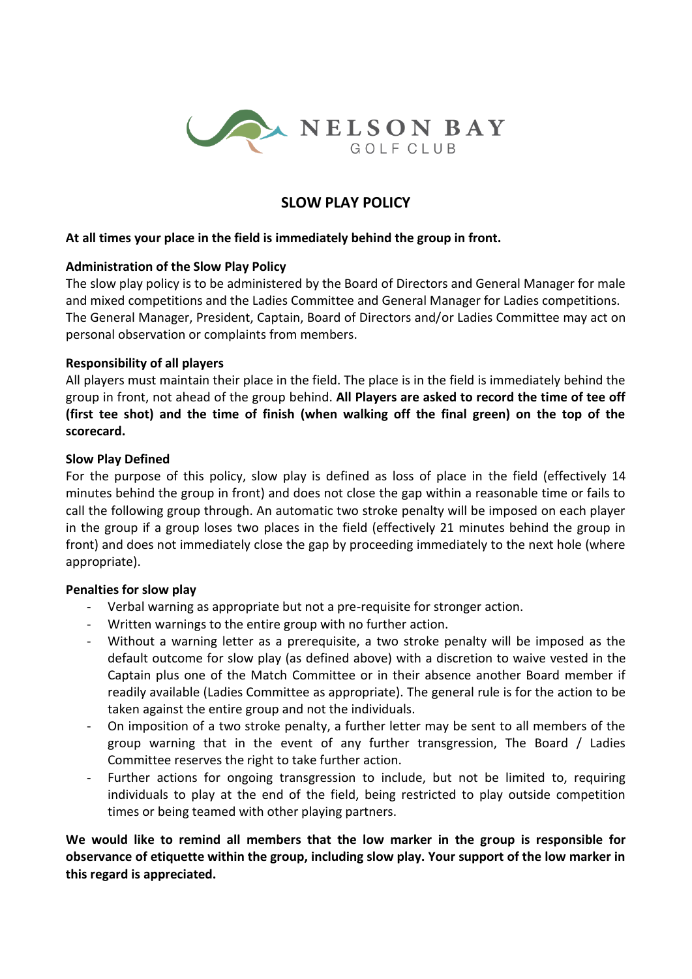

# **SLOW PLAY POLICY**

#### **At all times your place in the field is immediately behind the group in front.**

#### **Administration of the Slow Play Policy**

The slow play policy is to be administered by the Board of Directors and General Manager for male and mixed competitions and the Ladies Committee and General Manager for Ladies competitions. The General Manager, President, Captain, Board of Directors and/or Ladies Committee may act on personal observation or complaints from members.

### **Responsibility of all players**

All players must maintain their place in the field. The place is in the field is immediately behind the group in front, not ahead of the group behind. **All Players are asked to record the time of tee off (first tee shot) and the time of finish (when walking off the final green) on the top of the scorecard.** 

#### **Slow Play Defined**

For the purpose of this policy, slow play is defined as loss of place in the field (effectively 14 minutes behind the group in front) and does not close the gap within a reasonable time or fails to call the following group through. An automatic two stroke penalty will be imposed on each player in the group if a group loses two places in the field (effectively 21 minutes behind the group in front) and does not immediately close the gap by proceeding immediately to the next hole (where appropriate).

#### **Penalties for slow play**

- Verbal warning as appropriate but not a pre-requisite for stronger action.
- Written warnings to the entire group with no further action.
- Without a warning letter as a prerequisite, a two stroke penalty will be imposed as the default outcome for slow play (as defined above) with a discretion to waive vested in the Captain plus one of the Match Committee or in their absence another Board member if readily available (Ladies Committee as appropriate). The general rule is for the action to be taken against the entire group and not the individuals.
- On imposition of a two stroke penalty, a further letter may be sent to all members of the group warning that in the event of any further transgression, The Board / Ladies Committee reserves the right to take further action.
- Further actions for ongoing transgression to include, but not be limited to, requiring individuals to play at the end of the field, being restricted to play outside competition times or being teamed with other playing partners.

**We would like to remind all members that the low marker in the group is responsible for observance of etiquette within the group, including slow play. Your support of the low marker in this regard is appreciated.**